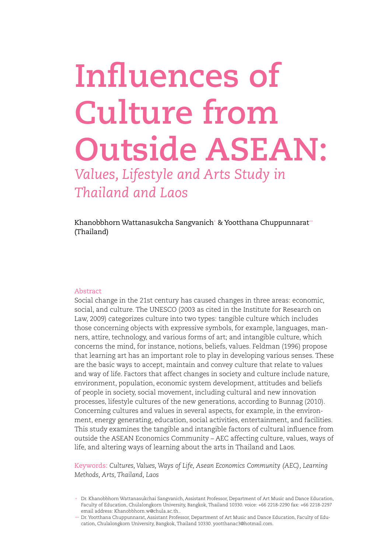# **Influences of Culture from Outside ASEAN:**

*Values, Lifestyle and Arts Study in Thailand and Laos*

Khanobbhorn Wattanasukcha Sangvanich+ & Yootthana Chuppunnarat++ (Thailand)

#### Abstract

Social change in the 21st century has caused changes in three areas: economic, social, and culture. The UNESCO (2003 as cited in the Institute for Research on Law, 2009) categorizes culture into two types: tangible culture which includes those concerning objects with expressive symbols, for example, languages, manners, attire, technology, and various forms of art; and intangible culture, which concerns the mind, for instance, notions, beliefs, values. Feldman (1996) propose that learning art has an important role to play in developing various senses. These are the basic ways to accept, maintain and convey culture that relate to values and way of life. Factors that affect changes in society and culture include nature, environment, population, economic system development, attitudes and beliefs of people in society, social movement, including cultural and new innovation processes, lifestyle cultures of the new generations, according to Bunnag (2010). Concerning cultures and values in several aspects, for example, in the environment, energy generating, education, social activities, entertainment, and facilities. This study examines the tangible and intangible factors of cultural influence from outside the ASEAN Economics Community – AEC affecting culture, values, ways of life, and altering ways of learning about the arts in Thailand and Laos.

Keywords: *Cultures, Values, Ways of Life, Asean Economics Community (AEC), Learning Methods, Arts, Thailand, Laos*

<sup>+</sup> Dr. Khanobbhorn Wattanasukchai Sangvanich, Assistant Professor, Department of Art Music and Dance Education, Faculty of Education, Chulalongkorn University, Bangkok, Thailand 10330. voice: +66 2218-2290 fax: +66 2218-2297 email address: Khanobbhorn.w@chula.ac.th..

<sup>++</sup> Dr. Yootthana Chuppunnarat, Assistant Professor, Department of Art Music and Dance Education, Faculty of Education, Chulalongkorn University, Bangkok, Thailand 10330. yootthanac3@hotmail.com.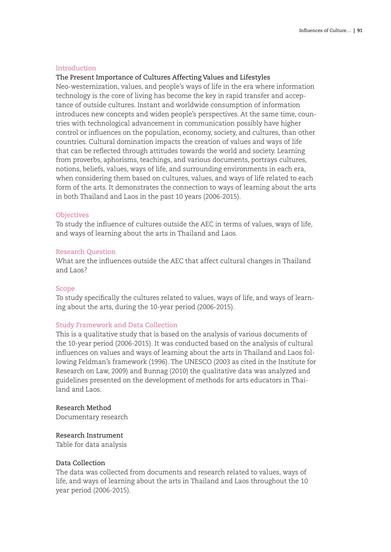# Introduction

# The Present Importance of Cultures Affecting Values and Lifestyles

Neo-westernization, values, and people's ways of life in the era where information technology is the core of living has become the key in rapid transfer and acceptance of outside cultures. Instant and worldwide consumption of information introduces new concepts and widen people's perspectives. At the same time, countries with technological advancement in communication possibly have higher control or influences on the population, economy, society, and cultures, than other countries. Cultural domination impacts the creation of values and ways of life that can be reflected through attitudes towards the world and society. Learning from proverbs, aphorisms, teachings, and various documents, portrays cultures, notions, beliefs, values, ways of life, and surrounding environments in each era, when considering them based on cultures, values, and ways of life related to each form of the arts. It demonstrates the connection to ways of learning about the arts in both Thailand and Laos in the past 10 years (2006-2015).

#### **Objectives**

To study the influence of cultures outside the AEC in terms of values, ways of life, and ways of learning about the arts in Thailand and Laos.

#### Research Question

What are the influences outside the AEC that affect cultural changes in Thailand and Laos?

#### Scope

To study specifically the cultures related to values, ways of life, and ways of learning about the arts, during the 10-year period (2006-2015).

#### Study Framework and Data Collection

This is a qualitative study that is based on the analysis of various documents of the 10-year period (2006-2015). It was conducted based on the analysis of cultural influences on values and ways of learning about the arts in Thailand and Laos following Feldman's framework (1996). The UNESCO (2003 as cited in the Institute for Research on Law, 2009) and Bunnag (2010) the qualitative data was analyzed and guidelines presented on the development of methods for arts educators in Thailand and Laos.

# Research Method

Documentary research

# Research Instrument

Table for data analysis

# Data Collection

The data was collected from documents and research related to values, ways of life, and ways of learning about the arts in Thailand and Laos throughout the 10 year period (2006-2015).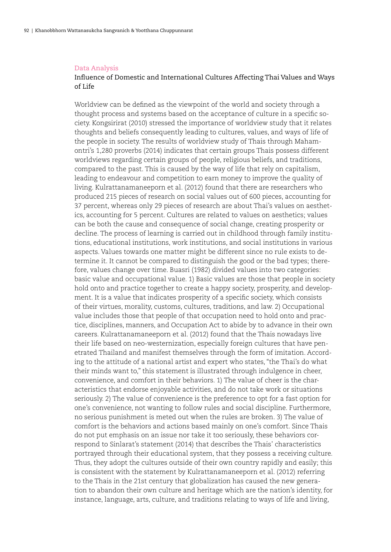#### Data Analysis

# Influence of Domestic and International Cultures Affecting Thai Values and Ways of Life

Worldview can be defined as the viewpoint of the world and society through a thought process and systems based on the acceptance of culture in a specific society. Kongsirirat (2010) stressed the importance of worldview study that it relates thoughts and beliefs consequently leading to cultures, values, and ways of life of the people in society. The results of worldview study of Thais through Mahamontri's 1,280 proverbs (2014) indicates that certain groups Thais possess different worldviews regarding certain groups of people, religious beliefs, and traditions, compared to the past. This is caused by the way of life that rely on capitalism, leading to endeavour and competition to earn money to improve the quality of living. Kulrattanamaneeporn et al. (2012) found that there are researchers who produced 215 pieces of research on social values out of 600 pieces, accounting for 37 percent, whereas only 29 pieces of research are about Thai's values on aesthetics, accounting for 5 percent. Cultures are related to values on aesthetics; values can be both the cause and consequence of social change, creating prosperity or decline. The process of learning is carried out in childhood through family institutions, educational institutions, work institutions, and social institutions in various aspects. Values towards one matter might be different since no rule exists to determine it. It cannot be compared to distinguish the good or the bad types; therefore, values change over time. Buasri (1982) divided values into two categories: basic value and occupational value. 1) Basic values are those that people in society hold onto and practice together to create a happy society, prosperity, and development. It is a value that indicates prosperity of a specific society, which consists of their virtues, morality, customs, cultures, traditions, and law. 2) Occupational value includes those that people of that occupation need to hold onto and practice, disciplines, manners, and Occupation Act to abide by to advance in their own careers. Kulrattanamaneeporn et al. (2012) found that the Thais nowadays live their life based on neo-westernization, especially foreign cultures that have penetrated Thailand and manifest themselves through the form of imitation. According to the attitude of a national artist and expert who states, "the Thai's do what their minds want to," this statement is illustrated through indulgence in cheer, convenience, and comfort in their behaviors. 1) The value of cheer is the characteristics that endorse enjoyable activities, and do not take work or situations seriously. 2) The value of convenience is the preference to opt for a fast option for one's convenience, not wanting to follow rules and social discipline. Furthermore, no serious punishment is meted out when the rules are broken. 3) The value of comfort is the behaviors and actions based mainly on one's comfort. Since Thais do not put emphasis on an issue nor take it too seriously, these behaviors correspond to Sinlarat's statement (2014) that describes the Thais' characteristics portrayed through their educational system, that they possess a receiving culture. Thus, they adopt the cultures outside of their own country rapidly and easily; this is consistent with the statement by Kulrattanamaneeporn et al. (2012) referring to the Thais in the 21st century that globalization has caused the new generation to abandon their own culture and heritage which are the nation's identity, for instance, language, arts, culture, and traditions relating to ways of life and living,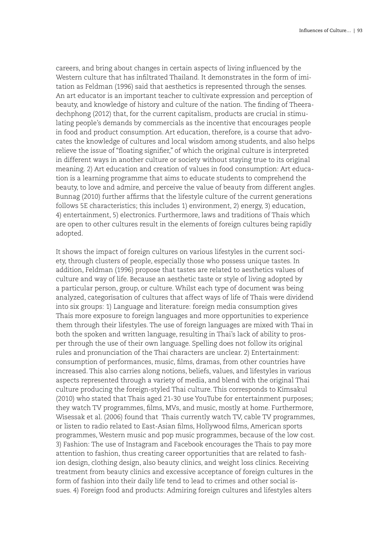careers, and bring about changes in certain aspects of living influenced by the Western culture that has infiltrated Thailand. It demonstrates in the form of imitation as Feldman (1996) said that aesthetics is represented through the senses. An art educator is an important teacher to cultivate expression and perception of beauty, and knowledge of history and culture of the nation. The finding of Theeradechphong (2012) that, for the current capitalism, products are crucial in stimulating people's demands by commercials as the incentive that encourages people in food and product consumption. Art education, therefore, is a course that advocates the knowledge of cultures and local wisdom among students, and also helps relieve the issue of "floating signifier," of which the original culture is interpreted in different ways in another culture or society without staying true to its original meaning. 2) Art education and creation of values in food consumption: Art education is a learning programme that aims to educate students to comprehend the beauty, to love and admire, and perceive the value of beauty from different angles. Bunnag (2010) further affirms that the lifestyle culture of the current generations follows 5E characteristics; this includes 1) environment, 2) energy, 3) education, 4) entertainment, 5) electronics. Furthermore, laws and traditions of Thais which are open to other cultures result in the elements of foreign cultures being rapidly adopted.

It shows the impact of foreign cultures on various lifestyles in the current society, through clusters of people, especially those who possess unique tastes. In addition, Feldman (1996) propose that tastes are related to aesthetics values of culture and way of life. Because an aesthetic taste or style of living adopted by a particular person, group, or culture. Whilst each type of document was being analyzed, categorisation of cultures that affect ways of life of Thais were dividend into six groups: 1) Language and literature: foreign media consumption gives Thais more exposure to foreign languages and more opportunities to experience them through their lifestyles. The use of foreign languages are mixed with Thai in both the spoken and written language, resulting in Thai's lack of ability to prosper through the use of their own language. Spelling does not follow its original rules and pronunciation of the Thai characters are unclear. 2) Entertainment: consumption of performances, music, films, dramas, from other countries have increased. This also carries along notions, beliefs, values, and lifestyles in various aspects represented through a variety of media, and blend with the original Thai culture producing the foreign-styled Thai culture. This corresponds to Kimsakul (2010) who stated that Thais aged 21-30 use YouTube for entertainment purposes; they watch TV programmes, films, MVs, and music, mostly at home. Furthermore, Wisessak et al. (2006) found that Thais currently watch TV, cable TV programmes, or listen to radio related to East-Asian films, Hollywood films, American sports programmes, Western music and pop music programmes, because of the low cost. 3) Fashion: The use of Instagram and Facebook encourages the Thais to pay more attention to fashion, thus creating career opportunities that are related to fashion design, clothing design, also beauty clinics, and weight loss clinics. Receiving treatment from beauty clinics and excessive acceptance of foreign cultures in the form of fashion into their daily life tend to lead to crimes and other social issues. 4) Foreign food and products: Admiring foreign cultures and lifestyles alters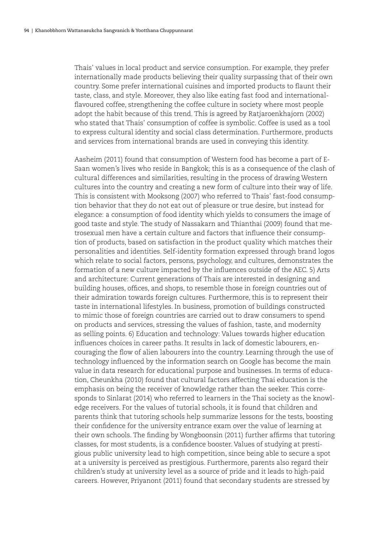Thais' values in local product and service consumption. For example, they prefer internationally made products believing their quality surpassing that of their own country. Some prefer international cuisines and imported products to flaunt their taste, class, and style. Moreover, they also like eating fast food and internationalflavoured coffee, strengthening the coffee culture in society where most people adopt the habit because of this trend. This is agreed by Ratjaroenkhajorn (2002) who stated that Thais' consumption of coffee is symbolic. Coffee is used as a tool to express cultural identity and social class determination. Furthermore, products and services from international brands are used in conveying this identity.

Aasheim (2011) found that consumption of Western food has become a part of E-Saan women's lives who reside in Bangkok; this is as a consequence of the clash of cultural differences and similarities, resulting in the process of drawing Western cultures into the country and creating a new form of culture into their way of life. This is consistent with Mooksong (2007) who referred to Thais' fast-food consumption behavior that they do not eat out of pleasure or true desire, but instead for elegance: a consumption of food identity which yields to consumers the image of good taste and style. The study of Nassakarn and Thianthai (2009) found that metrosexual men have a certain culture and factors that influence their consumption of products, based on satisfaction in the product quality which matches their personalities and identities. Self-identity formation expressed through brand logos which relate to social factors, persons, psychology, and cultures, demonstrates the formation of a new culture impacted by the influences outside of the AEC. 5) Arts and architecture: Current generations of Thais are interested in designing and building houses, offices, and shops, to resemble those in foreign countries out of their admiration towards foreign cultures. Furthermore, this is to represent their taste in international lifestyles. In business, promotion of buildings constructed to mimic those of foreign countries are carried out to draw consumers to spend on products and services, stressing the values of fashion, taste, and modernity as selling points. 6) Education and technology: Values towards higher education influences choices in career paths. It results in lack of domestic labourers, encouraging the flow of alien labourers into the country. Learning through the use of technology influenced by the information search on Google has become the main value in data research for educational purpose and businesses. In terms of education, Cheunkha (2010) found that cultural factors affecting Thai education is the emphasis on being the receiver of knowledge rather than the seeker. This corresponds to Sinlarat (2014) who referred to learners in the Thai society as the knowledge receivers. For the values of tutorial schools, it is found that children and parents think that tutoring schools help summarize lessons for the tests, boosting their confidence for the university entrance exam over the value of learning at their own schools. The finding by Wongboonsin (2011) further affirms that tutoring classes, for most students, is a confidence booster. Values of studying at prestigious public university lead to high competition, since being able to secure a spot at a university is perceived as prestigious. Furthermore, parents also regard their children's study at university level as a source of pride and it leads to high-paid careers. However, Priyanont (2011) found that secondary students are stressed by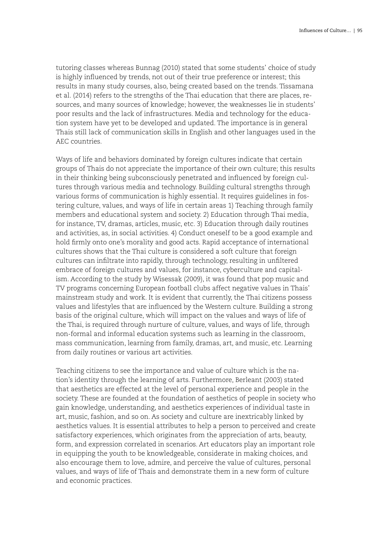tutoring classes whereas Bunnag (2010) stated that some students' choice of study is highly influenced by trends, not out of their true preference or interest; this results in many study courses, also, being created based on the trends. Tissamana et al. (2014) refers to the strengths of the Thai education that there are places, resources, and many sources of knowledge; however, the weaknesses lie in students' poor results and the lack of infrastructures. Media and technology for the education system have yet to be developed and updated. The importance is in general Thais still lack of communication skills in English and other languages used in the AEC countries.

Ways of life and behaviors dominated by foreign cultures indicate that certain groups of Thais do not appreciate the importance of their own culture; this results in their thinking being subconsciously penetrated and influenced by foreign cultures through various media and technology. Building cultural strengths through various forms of communication is highly essential. It requires guidelines in fostering culture, values, and ways of life in certain areas 1) Teaching through family members and educational system and society. 2) Education through Thai media, for instance, TV, dramas, articles, music, etc. 3) Education through daily routines and activities, as, in social activities. 4) Conduct oneself to be a good example and hold firmly onto one's morality and good acts. Rapid acceptance of international cultures shows that the Thai culture is considered a soft culture that foreign cultures can infiltrate into rapidly, through technology, resulting in unfiltered embrace of foreign cultures and values, for instance, cyberculture and capitalism. According to the study by Wisessak (2009), it was found that pop music and TV programs concerning European football clubs affect negative values in Thais' mainstream study and work. It is evident that currently, the Thai citizens possess values and lifestyles that are influenced by the Western culture. Building a strong basis of the original culture, which will impact on the values and ways of life of the Thai, is required through nurture of culture, values, and ways of life, through non-formal and informal education systems such as learning in the classroom, mass communication, learning from family, dramas, art, and music, etc. Learning from daily routines or various art activities.

Teaching citizens to see the importance and value of culture which is the nation's identity through the learning of arts. Furthermore, Berleant (2003) stated that aesthetics are effected at the level of personal experience and people in the society. These are founded at the foundation of aesthetics of people in society who gain knowledge, understanding, and aesthetics experiences of individual taste in art, music, fashion, and so on. As society and culture are inextricably linked by aesthetics values. It is essential attributes to help a person to perceived and create satisfactory experiences, which originates from the appreciation of arts, beauty, form, and expression correlated in scenarios. Art educators play an important role in equipping the youth to be knowledgeable, considerate in making choices, and also encourage them to love, admire, and perceive the value of cultures, personal values, and ways of life of Thais and demonstrate them in a new form of culture and economic practices.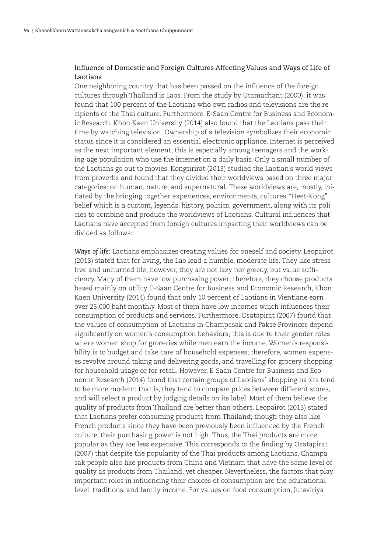# Influence of Domestic and Foreign Cultures Affecting Values and Ways of Life of Laotians

One neighboring country that has been passed on the influence of the foreign cultures through Thailand is Laos. From the study by Utamachant (2000), it was found that 100 percent of the Laotians who own radios and televisions are the recipients of the Thai culture. Furthermore, E-Saan Centre for Business and Economic Research, Khon Kaen University (2014) also found that the Laotians pass their time by watching television. Ownership of a television symbolizes their economic status since it is considered an essential electronic appliance. Internet is perceived as the next important element; this is especially among teenagers and the working-age population who use the internet on a daily basis. Only a small number of the Laotians go out to movies. Kongsirirat (2013) studied the Laotian's world views from proverbs and found that they divided their worldviews based on three major categories: on human, nature, and supernatural. These worldviews are, mostly, initiated by the bringing together experiences, environments, cultures, "Heet-Kong" belief which is a custom, legends, history, politics, government, along with its policies to combine and produce the worldviews of Laotians. Cultural influences that Laotians have accepted from foreign cultures impacting their worldviews can be divided as follows:

*Ways of life:* Laotians emphasizes creating values for oneself and society. Leopairot (2013) stated that for living, the Lao lead a humble, moderate life. They like stressfree and unhurried life; however, they are not lazy nor greedy, but value sufficiency. Many of them have low purchasing power; therefore, they choose products based mainly on utility. E-Saan Centre for Business and Economic Research, Khon Kaen University (2014) found that only 10 percent of Laotians in Vientiane earn over 25,000 baht monthly. Most of them have low incomes which influences their consumption of products and services. Furthermore, Osatapirat (2007) found that the values of consumption of Laotians in Champasak and Pakse Provinces depend significantly on women's consumption behaviors; this is due to their gender roles where women shop for groceries while men earn the income. Women's responsibility is to budget and take care of household expenses; therefore, women expenses revolve around taking and delivering goods, and travelling for grocery shopping for household usage or for retail. However, E-Saan Centre for Business and Economic Research (2014) found that certain groups of Laotians' shopping habits tend to be more modern; that is, they tend to compare prices between different stores, and will select a product by judging details on its label. Most of them believe the quality of products from Thailand are better than others. Leopairot (2013) stated that Laotians prefer consuming products from Thailand; though they also like French products since they have been previously been influenced by the French culture, their purchasing power is not high. Thus, the Thai products are more popular as they are less expensive. This corresponds to the finding by Osatapirat (2007) that despite the popularity of the Thai products among Laotians, Champasak people also like products from China and Vietnam that have the same level of quality as products from Thailand, yet cheaper. Nevertheless, the factors that play important roles in influencing their choices of consumption are the educational level, traditions, and family income. For values on food consumption, Jutaviriya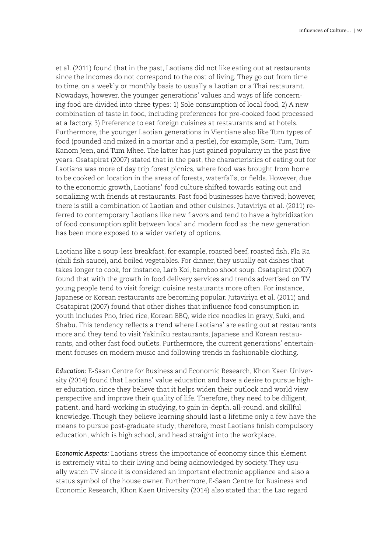et al. (2011) found that in the past, Laotians did not like eating out at restaurants since the incomes do not correspond to the cost of living. They go out from time to time, on a weekly or monthly basis to usually a Laotian or a Thai restaurant. Nowadays, however, the younger generations' values and ways of life concerning food are divided into three types: 1) Sole consumption of local food, 2) A new combination of taste in food, including preferences for pre-cooked food processed at a factory, 3) Preference to eat foreign cuisines at restaurants and at hotels. Furthermore, the younger Laotian generations in Vientiane also like Tum types of food (pounded and mixed in a mortar and a pestle), for example, Som-Tum, Tum Kanom Jeen, and Tum Mhee. The latter has just gained popularity in the past five years. Osatapirat (2007) stated that in the past, the characteristics of eating out for Laotians was more of day trip forest picnics, where food was brought from home to be cooked on location in the areas of forests, waterfalls, or fields. However, due to the economic growth, Laotians' food culture shifted towards eating out and socializing with friends at restaurants. Fast food businesses have thrived; however, there is still a combination of Laotian and other cuisines. Jutaviriya et al. (2011) referred to contemporary Laotians like new flavors and tend to have a hybridization of food consumption split between local and modern food as the new generation has been more exposed to a wider variety of options.

Laotians like a soup-less breakfast, for example, roasted beef, roasted fish, Pla Ra (chili fish sauce), and boiled vegetables. For dinner, they usually eat dishes that takes longer to cook, for instance, Larb Koi, bamboo shoot soup. Osatapirat (2007) found that with the growth in food delivery services and trends advertised on TV young people tend to visit foreign cuisine restaurants more often. For instance, Japanese or Korean restaurants are becoming popular. Jutaviriya et al. (2011) and Osatapirat (2007) found that other dishes that influence food consumption in youth includes Pho, fried rice, Korean BBQ, wide rice noodles in gravy, Suki, and Shabu. This tendency reflects a trend where Laotians' are eating out at restaurants more and they tend to visit Yakiniku restaurants, Japanese and Korean restaurants, and other fast food outlets. Furthermore, the current generations' entertainment focuses on modern music and following trends in fashionable clothing.

*Education:* E-Saan Centre for Business and Economic Research, Khon Kaen University (2014) found that Laotians' value education and have a desire to pursue higher education, since they believe that it helps widen their outlook and world view perspective and improve their quality of life. Therefore, they need to be diligent, patient, and hard-working in studying, to gain in-depth, all-round, and skillful knowledge. Though they believe learning should last a lifetime only a few have the means to pursue post-graduate study; therefore, most Laotians finish compulsory education, which is high school, and head straight into the workplace.

*Economic Aspects:* Laotians stress the importance of economy since this element is extremely vital to their living and being acknowledged by society. They usually watch TV since it is considered an important electronic appliance and also a status symbol of the house owner. Furthermore, E-Saan Centre for Business and Economic Research, Khon Kaen University (2014) also stated that the Lao regard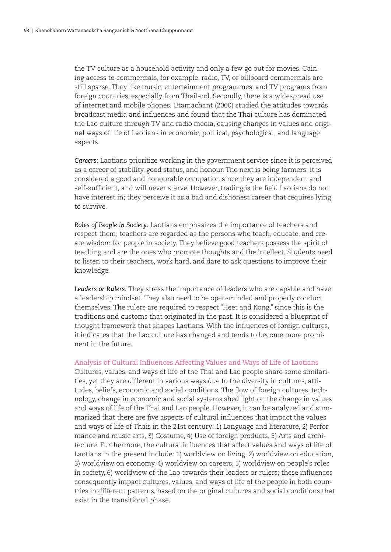the TV culture as a household activity and only a few go out for movies. Gaining access to commercials, for example, radio, TV, or billboard commercials are still sparse. They like music, entertainment programmes, and TV programs from foreign countries, especially from Thailand. Secondly, there is a widespread use of internet and mobile phones. Utamachant (2000) studied the attitudes towards broadcast media and influences and found that the Thai culture has dominated the Lao culture through TV and radio media, causing changes in values and original ways of life of Laotians in economic, political, psychological, and language aspects.

*Careers:* Laotians prioritize working in the government service since it is perceived as a career of stability, good status, and honour. The next is being farmers; it is considered a good and honourable occupation since they are independent and self-sufficient, and will never starve. However, trading is the field Laotians do not have interest in; they perceive it as a bad and dishonest career that requires lying to survive.

*Roles of People in Society:* Laotians emphasizes the importance of teachers and respect them; teachers are regarded as the persons who teach, educate, and create wisdom for people in society. They believe good teachers possess the spirit of teaching and are the ones who promote thoughts and the intellect. Students need to listen to their teachers, work hard, and dare to ask questions to improve their knowledge.

*Leaders or Rulers:* They stress the importance of leaders who are capable and have a leadership mindset. They also need to be open-minded and properly conduct themselves. The rulers are required to respect "Heet and Kong," since this is the traditions and customs that originated in the past. It is considered a blueprint of thought framework that shapes Laotians. With the influences of foreign cultures, it indicates that the Lao culture has changed and tends to become more prominent in the future.

#### Analysis of Cultural Influences Affecting Values and Ways of Life of Laotians

Cultures, values, and ways of life of the Thai and Lao people share some similarities, yet they are different in various ways due to the diversity in cultures, attitudes, beliefs, economic and social conditions. The flow of foreign cultures, technology, change in economic and social systems shed light on the change in values and ways of life of the Thai and Lao people. However, it can be analyzed and summarized that there are five aspects of cultural influences that impact the values and ways of life of Thais in the 21st century: 1) Language and literature, 2) Performance and music arts, 3) Costume, 4) Use of foreign products, 5) Arts and architecture. Furthermore, the cultural influences that affect values and ways of life of Laotians in the present include: 1) worldview on living, 2) worldview on education, 3) worldview on economy, 4) worldview on careers, 5) worldview on people's roles in society, 6) worldview of the Lao towards their leaders or rulers; these influences consequently impact cultures, values, and ways of life of the people in both countries in different patterns, based on the original cultures and social conditions that exist in the transitional phase.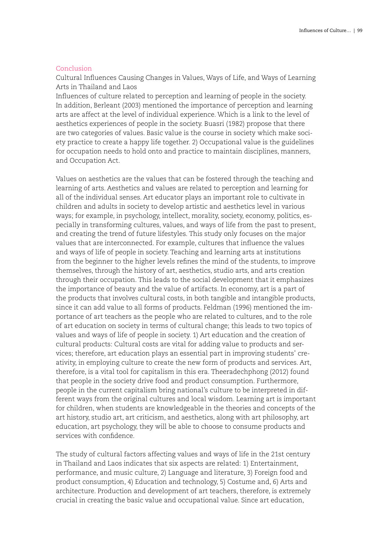# Conclusion

Cultural Influences Causing Changes in Values, Ways of Life, and Ways of Learning Arts in Thailand and Laos

Influences of culture related to perception and learning of people in the society. In addition, Berleant (2003) mentioned the importance of perception and learning arts are affect at the level of individual experience. Which is a link to the level of aesthetics experiences of people in the society. Buasri (1982) propose that there are two categories of values. Basic value is the course in society which make society practice to create a happy life together. 2) Occupational value is the guidelines for occupation needs to hold onto and practice to maintain disciplines, manners, and Occupation Act.

Values on aesthetics are the values that can be fostered through the teaching and learning of arts. Aesthetics and values are related to perception and learning for all of the individual senses. Art educator plays an important role to cultivate in children and adults in society to develop artistic and aesthetics level in various ways; for example, in psychology, intellect, morality, society, economy, politics, especially in transforming cultures, values, and ways of life from the past to present, and creating the trend of future lifestyles. This study only focuses on the major values that are interconnected. For example, cultures that influence the values and ways of life of people in society. Teaching and learning arts at institutions from the beginner to the higher levels refines the mind of the students, to improve themselves, through the history of art, aesthetics, studio arts, and arts creation through their occupation. This leads to the social development that it emphasizes the importance of beauty and the value of artifacts. In economy, art is a part of the products that involves cultural costs, in both tangible and intangible products, since it can add value to all forms of products. Feldman (1996) mentioned the importance of art teachers as the people who are related to cultures, and to the role of art education on society in terms of cultural change; this leads to two topics of values and ways of life of people in society. 1) Art education and the creation of cultural products: Cultural costs are vital for adding value to products and services; therefore, art education plays an essential part in improving students' creativity, in employing culture to create the new form of products and services. Art, therefore, is a vital tool for capitalism in this era. Theeradechphong (2012) found that people in the society drive food and product consumption. Furthermore, people in the current capitalism bring national's culture to be interpreted in different ways from the original cultures and local wisdom. Learning art is important for children, when students are knowledgeable in the theories and concepts of the art history, studio art, art criticism, and aesthetics, along with art philosophy, art education, art psychology, they will be able to choose to consume products and services with confidence.

The study of cultural factors affecting values and ways of life in the 21st century in Thailand and Laos indicates that six aspects are related: 1) Entertainment, performance, and music culture, 2) Language and literature, 3) Foreign food and product consumption, 4) Education and technology, 5) Costume and, 6) Arts and architecture. Production and development of art teachers, therefore, is extremely crucial in creating the basic value and occupational value. Since art education,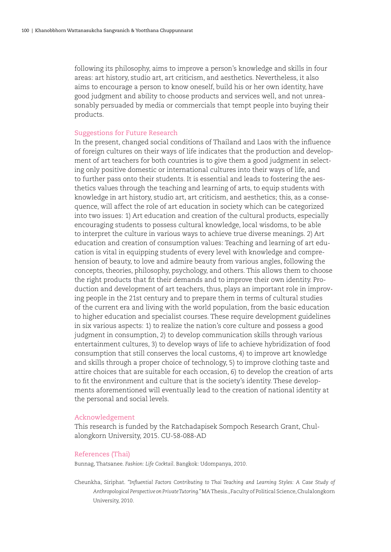following its philosophy, aims to improve a person's knowledge and skills in four areas: art history, studio art, art criticism, and aesthetics. Nevertheless, it also aims to encourage a person to know oneself, build his or her own identity, have good judgment and ability to choose products and services well, and not unreasonably persuaded by media or commercials that tempt people into buying their products.

#### Suggestions for Future Research

In the present, changed social conditions of Thailand and Laos with the influence of foreign cultures on their ways of life indicates that the production and development of art teachers for both countries is to give them a good judgment in selecting only positive domestic or international cultures into their ways of life, and to further pass onto their students. It is essential and leads to fostering the aesthetics values through the teaching and learning of arts, to equip students with knowledge in art history, studio art, art criticism, and aesthetics; this, as a consequence, will affect the role of art education in society which can be categorized into two issues: 1) Art education and creation of the cultural products, especially encouraging students to possess cultural knowledge, local wisdoms, to be able to interpret the culture in various ways to achieve true diverse meanings. 2) Art education and creation of consumption values: Teaching and learning of art education is vital in equipping students of every level with knowledge and comprehension of beauty, to love and admire beauty from various angles, following the concepts, theories, philosophy, psychology, and others. This allows them to choose the right products that fit their demands and to improve their own identity. Production and development of art teachers, thus, plays an important role in improving people in the 21st century and to prepare them in terms of cultural studies of the current era and living with the world population, from the basic education to higher education and specialist courses. These require development guidelines in six various aspects: 1) to realize the nation's core culture and possess a good judgment in consumption, 2) to develop communication skills through various entertainment cultures, 3) to develop ways of life to achieve hybridization of food consumption that still conserves the local customs, 4) to improve art knowledge and skills through a proper choice of technology, 5) to improve clothing taste and attire choices that are suitable for each occasion, 6) to develop the creation of arts to fit the environment and culture that is the society's identity. These developments aforementioned will eventually lead to the creation of national identity at the personal and social levels.

#### Acknowledgement

This research is funded by the Ratchadapisek Sompoch Research Grant, Chulalongkorn University, 2015. CU-58-088-AD

#### References (Thai)

Bunnag, Thatsanee. *Fashion: Life Cocktail*. Bangkok: Udompanya, 2010.

Cheunkha, Siriphat. *"Influential Factors Contributing to Thai Teaching and Learning Styles: A Case Study of Anthropological Perspective on Private Tutoring."* MA Thesis., Faculty of Political Science, Chulalongkorn University, 2010.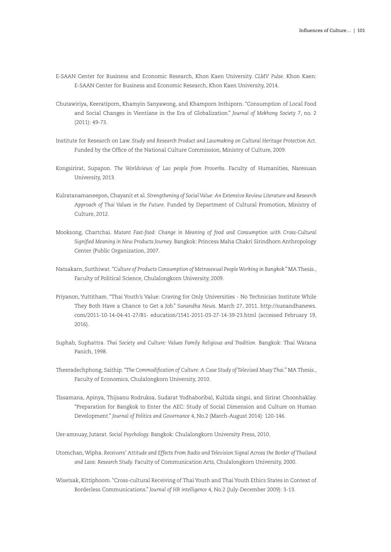- E-SAAN Center for Business and Economic Research, Khon Kaen University. *CLMV Pulse*. Khon Kaen: E-SAAN Center for Business and Economic Research, Khon Kaen University, 2014.
- Chutawiriya, Keeratiporn, Khamyin Sanyawong, and Khamporn Inthiporn. "Consumption of Local Food and Social Changes in Vientiane in the Era of Globalization." *Journal of Mekhong Society* 7, no. 2 (2011): 49-73.
- Institute for Research on Law. *Study and Research Product and Lawmaking on Cultural Heritage Protection Act.* Funded by the Office of the National Culture Commission, Ministry of Culture, 2009.
- Kongsirirat, Supapon. *The Worldviews of Lao people from Proverbs.* Faculty of Humanities, Naresuan University, 2013.
- Kulratanamaneepon, Chayanit et al. *Strengthening of Social Value: An Extensive Review Literature and Research Approach of Thai Values in the Future.* Funded by Department of Cultural Promotion, Ministry of Culture, 2012.
- Mooksong, Chartchai. *Mutant Fast-food: Change in Meaning of food and Consumption with Cross-Cultural Signified Meaning in New Products Journey.* Bangkok: Princess Maha Chakri Sirindhorn Anthropology Center (Public Organization, 2007.
- Natsakarn, Sutthiwat. *"Culture of Products Consumption of Metrosexual People Working in Bangkok."* MA Thesis., Faculty of Political Science, Chulalongkorn University, 2009.
- Priyanon, Yuttitham. "Thai Youth's Value: Craving for Only Universities No Technician Institute While They Both Have a Chance to Get a Job." *Sunandha News.* March 27, 2011. http://sunandhanews. com/2011-10-14-04-41-27/81- education/1541-2011-03-27-14-39-23.html (accessed February 19, 2016).
- Suphab, Suphattra. *Thai Society and Culture: Values Family Religious and Tradition.* Bangkok: Thai Watana Panich, 1998.
- Theeradechphong, Saithip. *"The Commodification of Culture: A Case Study of Televised Muay Thai."* MA Thesis., Faculty of Economics, Chulalongkorn University, 2010.
- Tissamana, Apinya, Thijsanu Rodruksa, Sudarat Yodhaboribal, Kultida singsi, and Sirirat Choonhaklay. "Preparation for Bangkok to Enter the AEC: Study of Social Dimension and Culture on Human Development." *Journal of Politics and Governance* 4, No.2 (March-August 2014): 120-146.

Uer-amnuay, Jutarat. *Social Psychology.* Bangkok: Chulalongkorn University Press, 2010.

- Utomchan, Wipha. *Receivers' Attitude and Effects From Radio and Television Signal Across the Border of Thailand and Laos: Research Study.* Faculty of Communication Arts, Chulalongkorn University, 2000.
- Wisetsak, Kittiphoom. "Cross-cultural Receiving of Thai Youth and Thai Youth Ethics States in Context of Borderless Communications." *Journal of HR intelligence* 4, No.2 (July-December 2009): 3-13.